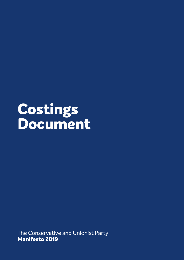# **Costings Document**

The Conservative and Unionist Party **Manifesto 2019**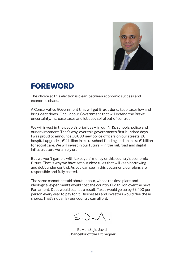

## **FOREWORD**

The choice at this election is clear: between economic success and economic chaos.

A Conservative Government that will get Brexit done, keep taxes low and bring debt down. Or a Labour Government that will extend the Brexit uncertainty, increase taxes and let debt spiral out of control.

We will invest in the people's priorities – in our NHS, schools, police and our environment. That's why, over this government's first hundred days, I was proud to announce 20,000 new police officers on our streets, 20 hospital upgrades, £14 billion in extra school funding and an extra £1 billion for social care. We will invest in our future – in the rail, road and digital infrastructure we all rely on.

But we won't gamble with taxpayers' money or this country's economic future. That is why we have set out clear rules that will keep borrowing and debt under control. As you can see in this document, our plans are responsible and fully costed.

The same cannot be said about Labour, whose reckless plans and ideological experiments would cost the country £1.2 trillion over the next Parliament. Debt would soar as a result. Taxes would go up by £2,400 per person every year to pay for it. Businesses and investors would flee these shores. That's not a risk our country can afford.

 $S.$ )

Rt Hon Sajid Javid Chancellor of the Exchequer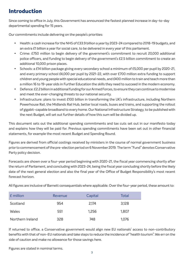### **Introduction**

Since coming to office in July, this Government has announced the fastest planned increase in day-to-day departmental spending for 15 years.

Our commitments include delivering on the people's priorities:

- Health: a cash increase for the NHS of £33.9 billion a year by 2023-24 compared to 2018-19 budgets, and an extra £1 billion a year for social care, to be delivered in every year of this parliament.
- Crime: £750 million to begin delivery of the government's commitment to recruit 20,000 additional police officers, and funding to begin delivery of the government's £2.5 billion commitment to create an additional 10,000 prison places.
- Schools: a £14 billion package giving every secondary school a minimum of £5,000 per pupil by 2020-21, and every primary school £4,000 per pupil by 2021-22, with over £700 million extra funding to support children and young people with special educational needs, and £400 million to train and teach more than a million 16 to 19-year olds in Further Education the skills they need to succeed in the modern economy.
- • Defence: £2.2 billion in additional funding for our Armed Forces, to ensure they can continue to modernise and meet the ever-changing threats to our national security.
- Infrastructure: plans to invest £100 billion in transforming the UK's infrastructure, including Northern Powerhouse Rail, the Midlands Rail Hub, better local roads, buses and trains, and supporting the rollout of gigabit-capable broadband to every home. Our National Infrastructure Strategy, to be published with the next Budget, will set out further details of how this sum will be divided up.

This document sets out the additional spending commitments and tax cuts set out in our manifesto today and explains how they will be paid for. Previous spending commitments have been set out in other financial statements, for example the most recent Budget and Spending Round.

Figures are derived from official costings received by ministers in the course of normal government business prior to commencement of the pre-election period on 6 November 2019. The term "Fund" denotes Conservative Party policy decision.

Forecasts are shown over a four-year period beginning with 2020-21, the fiscal year commencing shortly after the return of Parliament, and concluding with 2023-24, being the fiscal year concluding shortly before the likely date of the next general election and also the final year of the Office of Budget Responsibility's most recent forecast horizon.

All figures are inclusive of Barnett consequentials where applicable. Over the four-year period, these amount to:

| £ million        | Revenue | Capital | Total |
|------------------|---------|---------|-------|
| Scotland         | 954     | 2.174   | 3,128 |
| <b>Wales</b>     | 551     | 1,256   | 1,807 |
| Northern Ireland | 328     | 748     | 1,076 |

If returned to office, a Conservative government would align new EU nationals' access to non-contributory benefits with that of non-EU nationals and take steps to reduce the incidence of "health tourism". We err on the side of caution and make no allowance for those savings here.

Figures are stated in nominal terms.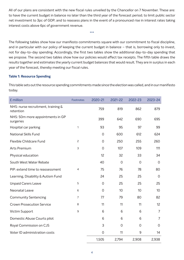All of our plans are consistent with the new fiscal rules unveiled by the Chancellor on 7 November. These are: to have the current budget in balance no later than the third year of the forecast period; to limit public sector net investment to 3pc of GDP; and to reassess plans in the event of a pronounced rise in interest rates taking interest costs above 6pc of government revenue.

\*\*\*

The following tables show how our manifesto commitments square with our commitment to fiscal discipline, and in particular with our policy of keeping the current budget in balance – that is, borrowing only to invest, not for day-to-day spending. Accordingly, the first two tables show the additional day-to-day spending that we propose. The second two tables show how our policies would affect tax receipts. The fifth table draws the results together and estimates the yearly current budget balances that would result. They are in surplus in each year of the forecast, thereby meeting our fiscal rules.

#### **Table 1: Resource Spending**

This table sets out the resource spending commitments made since the election was called, and in our manifesto today.

| £ million                                       | Footnotes      | 2020-21        | 2021-22        | 2022-23     | 2023-24        |
|-------------------------------------------------|----------------|----------------|----------------|-------------|----------------|
| NHS: nurse recruitment, training &<br>retention |                | 759            | 819            | 862         | 879            |
| NHS: 50m more appointments in GP<br>surgeries   |                | 399            | 642            | 690         | 695            |
| Hospital car parking                            | 1              | 93             | 95             | 97          | 99             |
| <b>National Skills Fund</b>                     |                | $\mathbf 0$    | 600            | 612         | 624            |
| Flexible Childcare Fund                         | $\overline{c}$ | $\overline{O}$ | 250            | 255         | 260            |
| Arts Premium                                    | 3              | $\overline{0}$ | 107            | 109         | 111            |
| Physical education                              |                | 12             | 32             | 33          | 34             |
| South West Water Rebate                         |                | 40             | $\mathbf 0$    | $\mathbf 0$ | $\mathbf 0$    |
| PIP: extend time to reassessment                | 4              | 75             | 76             | 78          | 80             |
| Learning, Disability & Autism Fund              |                | 24             | 25             | 25          | 0              |
| <b>Unpaid Carers Leave</b>                      | 5              | $\overline{0}$ | 25             | 25          | 25             |
| <b>Neonatal Leave</b>                           | 6              | $\overline{O}$ | 10             | 10          | 10             |
| <b>Community Sentencing</b>                     | 7              | 77             | 79             | 80          | 82             |
| <b>Crown Prosecution Service</b>                | 8              | 11             | 11             | 11          | 12             |
| Victim Support                                  | 9              | 6              | 6              | 6           | 7              |
| Domestic Abuse Courts pilot                     |                | 6              | 6              | 6           | $\overline{7}$ |
| Royal Commission on CJS                         |                | 3              | $\overline{O}$ | 0           | 0              |
| Voter ID administration costs                   |                | $\overline{0}$ | 11             | 9           | 14             |
|                                                 |                | 1,505          | 2,794          | 2,908       | 2,938          |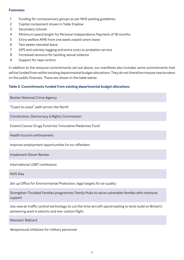#### **Footnotes**

- 1 Funding for concessionary groups as per NHS parking guidelines
- 2 Capital component shown in Table 5 below
- 3 Secondary schools
- 4 Minimum award length for Personal Independence Payment of 18 months
- 5 Extra welfare AME from one week unpaid carers leave
- 6 Two weeks neonatal leave
- 7 GPS and sobriety tagging and extra costs to probation service
- 8 Increased resource for tackling sexual violence
- 9 Support for rape victims

In addition to the resource commitments set out above, our manifesto also includes some commitments that will be funded from within existing departmental budget allocations. They do not therefore impose new burdens on the public finances. These are shown in the table below.

#### **Table 2: Commitments funded from existing departmental budget allocations**

Bolster National Crime Agency

"Coast to coast" path across the North

Constitution, Democracy & Rights Commission

Extend Cancer Drugs Fund into 'Innovative Medicines Fund'

Health tourism enforcement

Improve employment opportunities for ex-offenders

Implement Glover Review

International LGBT conference

NHS Visa

Set up Office for Environmental Protection; legal targets for air quality

Strengthen Troubled Families programme; Family Hubs to serve vulnerable families with intensive support

Use new air traffic control technology to cut the time aircraft spend waiting to land; build on Britain's pioneering work in electric and low-carbon flight

Veterans' Railcard

Wraparound childcare for military personnel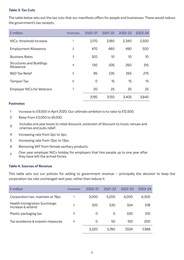#### **Table 3: Tax Cuts**

The table below sets out the tax cuts that our manifesto offers for people and businesses. These would reduce the government's tax receipts.

| £ million                                    | <b>Footnotes</b> | 2020-21     | $2021 - 22$     | 2022-23 | $2023 - 24$ |
|----------------------------------------------|------------------|-------------|-----------------|---------|-------------|
| NICs: threshold increase                     | 1                | 2,170       | 2,180           | 2,340   | 2,500       |
| <b>Employment Allowance</b>                  | 2                | 470         | 480             | 490     | 500         |
| <b>Business Rates</b>                        | 3                | 320         | 10 <sup>°</sup> | 10      | 10          |
| <b>Structures and Buildings</b><br>Allowance | $\overline{4}$   | 130         | 205             | 260     | 315         |
| <b>R&amp;D Tax Relief</b>                    | 5                | 85          | 235             | 265     | 275         |
| Tampon Tax                                   | 6                | $\mathbf 0$ | 15              | 15      | 15          |
| <b>Employer NICs for Veterans</b>            | 7                | 20          | 25              | 25      | 25          |
|                                              |                  | 3,195       | 3,150           | 3,405   | 3,640       |

#### **Footnotes**

- 1 Increase to £9,500 in April 2020. Our ultimate ambition is to raise to £12,500.
- 2 Raise from £3,000 to £4,000.
- <sup>3</sup> Includes one year boost to retail discount, extension of discount to music venues and cinemas and pubs relief.
- 4 Increasing rate from 2pc to 3pc.
- 5 Increasing rate from 12pc to 13pc.
- 6 Removing VAT from female sanitary products.
- 7 One-year employer NICs holiday for employers that hire people up to one year after they have left the armed forces.

#### **Table 4: Sources of Revenue**

This table sets out our policies for adding to government revenue – principally the decision to keep the corporation tax rate unchanged next year, rather than reduce it.

| £ million                                          | <b>Footnotes</b> | $2020 - 21$ | $2021 - 22$ | 2022-23 | $2023 - 24$ |
|----------------------------------------------------|------------------|-------------|-------------|---------|-------------|
| Corporation tax: maintain at 19pc                  |                  | 3,000       | 5,200       | 6,000   | 6,300       |
| Health Immigration Surcharge:<br>increase & extend | 2                | 320         | 530         | 554     | 578         |
| Plastic packaging tax                              | 3                | $\Omega$    | 0           | 330     | 310         |
| Tax avoidance & evasion measures                   | $\overline{4}$   | $\Omega$    | 50          | 150     | 200         |
|                                                    |                  | 3,320       | 5,780       | 7,034   | 7,388       |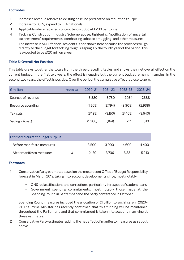#### **Footnotes**

- 1 Increases revenue relative to existing baseline predicated on reduction to 17pc.
- 2 Increase to £625; expand to EEA nationals.
- 3 Applicable where recycled content below 30pc at £200 per tonne.
- 4 Tackling Construction Industry Scheme abuse; tightening "notification of uncertain tax treatment" requirements; combatting tobacco smuggling; and other measures. The increase in SDLT for non-residents is not shown here because the proceeds will go directly to the budget for tackling rough sleeping. By the fourth year of the period, this is expected to be £120 million a year.

#### **Table 5: Overall Net Position**

This table draws together the totals from the three preceding tables and shows their net overall effect on the current budget. In the first two years, the effect is negative but the current budget remains in surplus. In the second two years, the effect is positive. Over the period, the cumulative effect is close to zero.

| £ million          | <b>Footnotes</b> | 2020-21 | $2021 - 22$ | $2022 - 23$ | 2023-24 |
|--------------------|------------------|---------|-------------|-------------|---------|
| Sources of revenue |                  | 3,320   | 5,780       | 7,034       | 7,388   |
| Resource spending  |                  | (1,505) | (2,794)     | (2,908)     | (2,938) |
| Tax cuts           |                  | (3,195) | (3,150)     | (3,405)     | (3,640) |
| Saving $/$ (cost)  |                  | (1,380) | (164)       | 721         | 810     |
|                    |                  |         |             |             |         |

| Estimated current budget surplus |       |       |       |       |
|----------------------------------|-------|-------|-------|-------|
| Before manifesto measures        | 3.500 | 3.900 | 4.600 | 4.400 |
| After manifesto measures         | 2.120 | 3.736 | 5.321 | 5.210 |

#### **Footnotes**

- 1 Conservative Party estimates based on the most recent Office of Budget Responsibility forecast in March 2019, taking into account developments since, most notably:
	- • ONS reclassifications and corrections, particularly in respect of student loans;
	- • Government spending commitments, most notably those made at the Spending Round in September and the party conference in October.

Spending Round measures included the allocation of £1 billion to social care in 2020- 21. The Prime Minister has recently confirmed that this funding will be maintained throughout the Parliament, and that commitment is taken into account in arriving at these estimates.

2 Conservative Party estimates, adding the net effect of manifesto measures as set out above.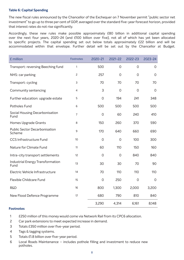#### **Table 6: Capital Spending**

The new fiscal rules announced by the Chancellor of the Exchequer on 7 November permit "public sector net investment" to go up to three per cent of GDP, averaged over the standard five-year forecast horizon, provided that interest rates do not rise significantly.

Accordingly, these new rules make possible approximately £80 billion in additional capital spending over the next four years, 2020-24 (and £100 billion over five), not all of which has yet been allocated to specific projects. The capital spending set out below totals approximately £22 billion and will be accommodated within that envelope. Further detail will be set out by the Chancellor at Budget.

| £ million                                       | Footnotes      | 2020-21        | $2021 - 22$    | 2022-23        | $2023 - 24$         |
|-------------------------------------------------|----------------|----------------|----------------|----------------|---------------------|
| Transport: reversing Beeching fund              | $\mathbf{1}$   | 500            | $\overline{O}$ | $\overline{O}$ | $\mathbf{O}$        |
| NHS: car parking                                | $\overline{c}$ | 257            | $\Omega$       | 0              | $\mathbf 0$         |
| Transport: cycling                              | 3              | 70             | 70             | 70             | 70                  |
| Community sentencing                            | $\overline{4}$ | 3              | $\overline{0}$ | $\overline{O}$ | $\mathbf{O}$        |
| Further education: upgrade estate               | 5              | $\overline{0}$ | 194            | 241            | 348                 |
| Potholes Fund                                   | 6              | 500            | 500            | 500            | 500                 |
| Social Housing Decarbonisation<br>Fund          | $\overline{7}$ | $\mathbf 0$    | 60             | 240            | 410                 |
| <b>Homes Upgrade Grants</b>                     | 8              | 150            | 260            | 370            | 590                 |
| <b>Public Sector Decarbonisation</b><br>Scheme  | 9              | 170            | 640            | 660            | 690                 |
| CCS Infrastructure Fund                         | 10             | $\mathbf 0$    | $\mathbf 0$    | 100            | 300                 |
| Nature for Climate Fund                         | 11             | 60             | 110            | 150            | 160                 |
| Intra-city transport settlements                | 12             | $\overline{0}$ | $\overline{0}$ | 840            | 840                 |
| <b>Industrial Energy Transformation</b><br>Fund | 13             | 30             | 30             | 70             | 90                  |
| Electric Vehicle Infrastructure                 | 14             | 70             | 110            | 110            | 110                 |
| Flexible Childcare Fund                         | 15             | $\mathbf 0$    | 250            | $\mathbf 0$    | $\mathsf{O}\xspace$ |
| R&D                                             | 16             | 800            | 1,300          | 2,000          | 3,200               |
| New Flood Defence Programme                     | 17             | 680            | 790            | 810            | 840                 |
|                                                 |                | 3,290          | 4,314          | 6,161          | 8,148               |

#### **Footnotes**

- 1 £250 million of this money would come via Network Rail from its CPC6 allocation.
- 2 Car park extensions to meet expected increase in demand.
- 3 Totals £350 million over five-year period.
- 4 Tags & tagging systems.
- 5 Totals £1.8 billion over five-year period.
- 6 Local Roads Maintenance includes pothole filling and investment to reduce new potholes.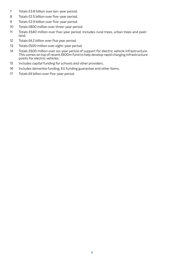- Totals £3.8 billion over ten-year period.
- Totals £2.5 billion over five-year period.
- Totals £2.9 billion over five-year period.
- Totals £800 million over three-year period.
- Totals £640 million over five-year period. Includes rural trees, urban trees and peatland.
- Totals £4.2 billion over five year period.
- Totals £500 million over eight-year period.
- Totals £600 million over six-year period of support for electric vehicle infrastructure. This comes on top of recent  $E$ 400m fund to help develop rapid charging infrastructure points for electric vehicles.
- Includes capital funding for schools and other providers.
- Includes dementia funding, EU funding guarantee and other items.
- 17 Totals £4 billion over five-year period.